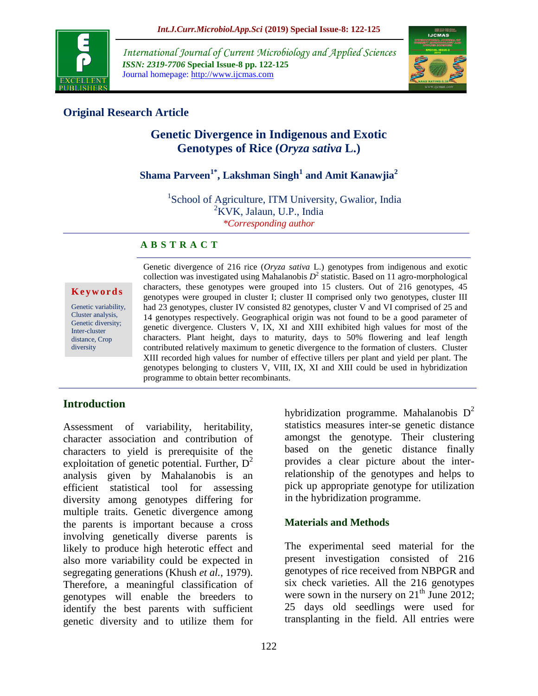

*International Journal of Current Microbiology and Applied Sciences ISSN: 2319-7706* **Special Issue-8 pp. 122-125** Journal homepage: http://www.ijcmas.com



## **Original Research Article**

# **Genetic Divergence in Indigenous and Exotic Genotypes of Rice (***Oryza sativa* **L.)**

# **Shama Parveen1\* , Lakshman Singh<sup>1</sup> and Amit Kanawjia<sup>2</sup>**

<sup>1</sup>School of Agriculture, ITM University, Gwalior, India  ${}^{2}$ KVK, Jalaun, U.P., India *\*Corresponding author*

#### **A B S T R A C T**

#### **K e y w o r d s**

Genetic variability, Cluster analysis, Genetic diversity; Inter-cluster distance, Crop diversity

Genetic divergence of 216 rice (*Oryza sativa* L.) genotypes from indigenous and exotic collection was investigated using Mahalanobis  $D^2$  statistic. Based on 11 agro-morphological characters, these genotypes were grouped into 15 clusters. Out of 216 genotypes, 45 genotypes were grouped in cluster I; cluster II comprised only two genotypes, cluster III had 23 genotypes, cluster IV consisted 82 genotypes, cluster V and VI comprised of 25 and 14 genotypes respectively. Geographical origin was not found to be a good parameter of genetic divergence. Clusters V, IX, XI and XIII exhibited high values for most of the characters. Plant height, days to maturity, days to 50% flowering and leaf length contributed relatively maximum to genetic divergence to the formation of clusters. Cluster XIII recorded high values for number of effective tillers per plant and yield per plant. The genotypes belonging to clusters V, VIII, IX, XI and XIII could be used in hybridization programme to obtain better recombinants.

### **Introduction**

Assessment of variability, heritability, character association and contribution of characters to yield is prerequisite of the exploitation of genetic potential. Further,  $D^2$ analysis given by Mahalanobis is an efficient statistical tool for assessing diversity among genotypes differing for multiple traits. Genetic divergence among the parents is important because a cross involving genetically diverse parents is likely to produce high heterotic effect and also more variability could be expected in segregating generations (Khush *et al.*, 1979). Therefore, a meaningful classification of genotypes will enable the breeders to identify the best parents with sufficient genetic diversity and to utilize them for

hybridization programme. Mahalanobis  $D^2$ statistics measures inter-se genetic distance amongst the genotype. Their clustering based on the genetic distance finally provides a clear picture about the interrelationship of the genotypes and helps to pick up appropriate genotype for utilization in the hybridization programme.

### **Materials and Methods**

The experimental seed material for the present investigation consisted of 216 genotypes of rice received from NBPGR and six check varieties. All the 216 genotypes were sown in the nursery on  $21<sup>th</sup>$  June 2012; 25 days old seedlings were used for transplanting in the field. All entries were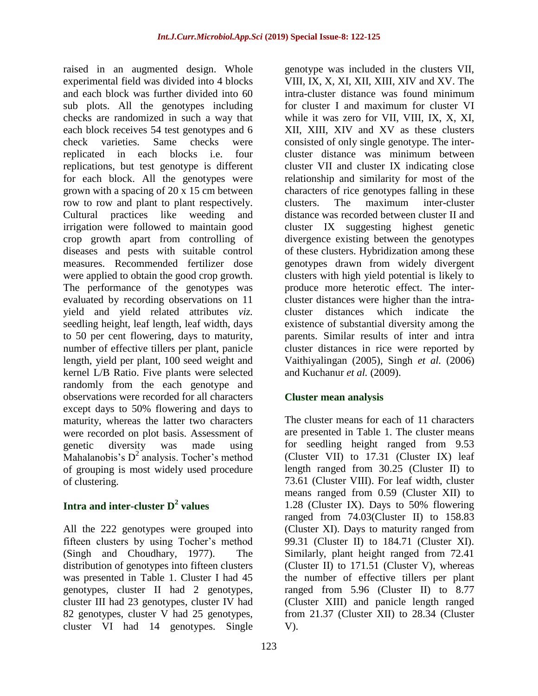raised in an augmented design. Whole experimental field was divided into 4 blocks and each block was further divided into 60 sub plots. All the genotypes including checks are randomized in such a way that each block receives 54 test genotypes and 6 check varieties. Same checks were replicated in each blocks i.e. four replications, but test genotype is different for each block. All the genotypes were grown with a spacing of 20 x 15 cm between row to row and plant to plant respectively. Cultural practices like weeding and irrigation were followed to maintain good crop growth apart from controlling of diseases and pests with suitable control measures. Recommended fertilizer dose were applied to obtain the good crop growth. The performance of the genotypes was evaluated by recording observations on 11 yield and yield related attributes *viz.* seedling height, leaf length, leaf width, days to 50 per cent flowering, days to maturity, number of effective tillers per plant, panicle length, yield per plant, 100 seed weight and kernel L/B Ratio. Five plants were selected randomly from the each genotype and observations were recorded for all characters except days to 50% flowering and days to maturity, whereas the latter two characters were recorded on plot basis. Assessment of genetic diversity was made using Mahalanobis's  $D^2$  analysis. Tocher's method of grouping is most widely used procedure of clustering.

# **Intra and inter-cluster D<sup>2</sup> values**

All the 222 genotypes were grouped into fifteen clusters by using Tocher's method (Singh and Choudhary, 1977). The distribution of genotypes into fifteen clusters was presented in Table 1. Cluster I had 45 genotypes, cluster II had 2 genotypes, cluster III had 23 genotypes, cluster IV had 82 genotypes, cluster V had 25 genotypes, cluster VI had 14 genotypes. Single

genotype was included in the clusters VII, VIII, IX, X, XI, XII, XIII, XIV and XV. The intra-cluster distance was found minimum for cluster I and maximum for cluster VI while it was zero for VII, VIII, IX, X, XI, XII, XIII, XIV and XV as these clusters consisted of only single genotype. The intercluster distance was minimum between cluster VII and cluster IX indicating close relationship and similarity for most of the characters of rice genotypes falling in these clusters. The maximum inter-cluster distance was recorded between cluster II and cluster IX suggesting highest genetic divergence existing between the genotypes of these clusters. Hybridization among these genotypes drawn from widely divergent clusters with high yield potential is likely to produce more heterotic effect. The intercluster distances were higher than the intracluster distances which indicate the existence of substantial diversity among the parents. Similar results of inter and intra cluster distances in rice were reported by Vaithiyalingan (2005), Singh *et al.* (2006) and Kuchanur *et al.* (2009).

### **Cluster mean analysis**

The cluster means for each of 11 characters are presented in Table 1. The cluster means for seedling height ranged from 9.53 (Cluster VII) to 17.31 (Cluster IX) leaf length ranged from 30.25 (Cluster II) to 73.61 (Cluster VIII). For leaf width, cluster means ranged from 0.59 (Cluster XII) to 1.28 (Cluster IX). Days to 50% flowering ranged from 74.03(Cluster II) to 158.83 (Cluster XI). Days to maturity ranged from 99.31 (Cluster II) to 184.71 (Cluster XI). Similarly, plant height ranged from 72.41 (Cluster II) to 171.51 (Cluster V), whereas the number of effective tillers per plant ranged from 5.96 (Cluster II) to 8.77 (Cluster XIII) and panicle length ranged from 21.37 (Cluster XII) to 28.34 (Cluster V).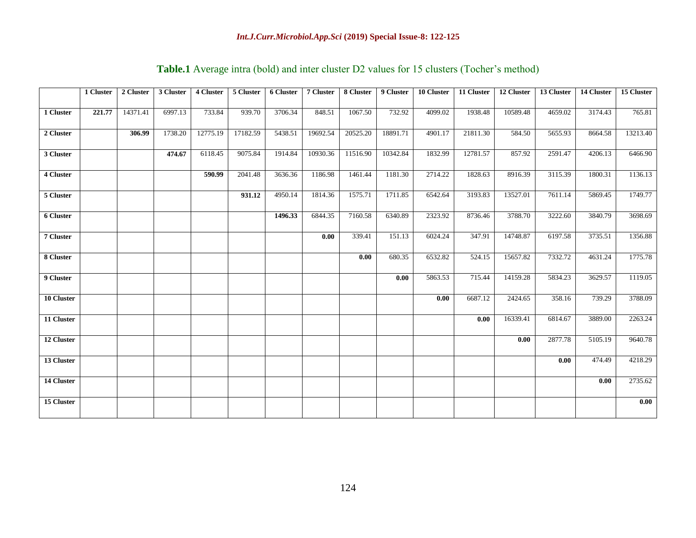|            | 1 Cluster | 2 Cluster | 3 Cluster | 4 Cluster | 5 Cluster | 6 Cluster | 7 Cluster | 8 Cluster | 9 Cluster | 10 Cluster | 11 Cluster | 12 Cluster | 13 Cluster | 14 Cluster | 15 Cluster |
|------------|-----------|-----------|-----------|-----------|-----------|-----------|-----------|-----------|-----------|------------|------------|------------|------------|------------|------------|
| 1 Cluster  | 221.77    | 14371.41  | 6997.13   | 733.84    | 939.70    | 3706.34   | 848.51    | 1067.50   | 732.92    | 4099.02    | 1938.48    | 10589.48   | 4659.02    | 3174.43    | 765.81     |
| 2 Cluster  |           | 306.99    | 1738.20   | 12775.19  | 17182.59  | 5438.51   | 19692.54  | 20525.20  | 18891.71  | 4901.17    | 21811.30   | 584.50     | 5655.93    | 8664.58    | 13213.40   |
| 3 Cluster  |           |           | 474.67    | 6118.45   | 9075.84   | 1914.84   | 10930.36  | 11516.90  | 10342.84  | 1832.99    | 12781.57   | 857.92     | 2591.47    | 4206.13    | 6466.90    |
| 4 Cluster  |           |           |           | 590.99    | 2041.48   | 3636.36   | 1186.98   | 1461.44   | 1181.30   | 2714.22    | 1828.63    | 8916.39    | 3115.39    | 1800.31    | 1136.13    |
| 5 Cluster  |           |           |           |           | 931.12    | 4950.14   | 1814.36   | 1575.71   | 1711.85   | 6542.64    | 3193.83    | 13527.01   | 7611.14    | 5869.45    | 1749.77    |
| 6 Cluster  |           |           |           |           |           | 1496.33   | 6844.35   | 7160.58   | 6340.89   | 2323.92    | 8736.46    | 3788.70    | 3222.60    | 3840.79    | 3698.69    |
| 7 Cluster  |           |           |           |           |           |           | 0.00      | 339.41    | 151.13    | 6024.24    | 347.91     | 14748.87   | 6197.58    | 3735.51    | 1356.88    |
| 8 Cluster  |           |           |           |           |           |           |           | 0.00      | 680.35    | 6532.82    | 524.15     | 15657.82   | 7332.72    | 4631.24    | 1775.78    |
| 9 Cluster  |           |           |           |           |           |           |           |           | 0.00      | 5863.53    | 715.44     | 14159.28   | 5834.23    | 3629.57    | 1119.05    |
| 10 Cluster |           |           |           |           |           |           |           |           |           | 0.00       | 6687.12    | 2424.65    | 358.16     | 739.29     | 3788.09    |
| 11 Cluster |           |           |           |           |           |           |           |           |           |            | $0.00\,$   | 16339.41   | 6814.67    | 3889.00    | 2263.24    |
| 12 Cluster |           |           |           |           |           |           |           |           |           |            |            | 0.00       | 2877.78    | 5105.19    | 9640.78    |
| 13 Cluster |           |           |           |           |           |           |           |           |           |            |            |            | 0.00       | 474.49     | 4218.29    |
| 14 Cluster |           |           |           |           |           |           |           |           |           |            |            |            |            | 0.00       | 2735.62    |
| 15 Cluster |           |           |           |           |           |           |           |           |           |            |            |            |            |            | $0.00\,$   |

# **Table.1** Average intra (bold) and inter cluster D2 values for 15 clusters (Tocher's method)